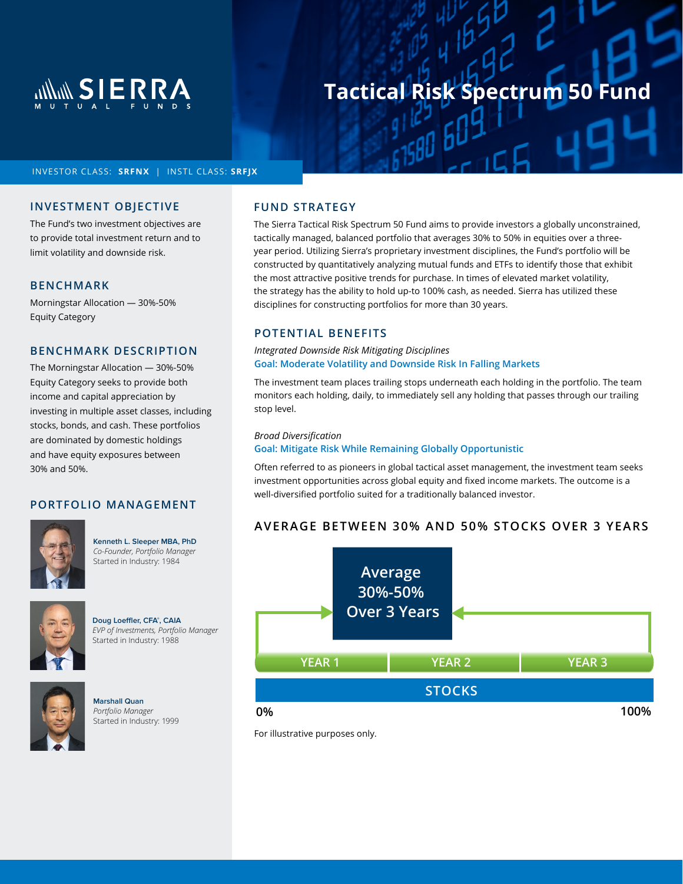

## **Tactical Risk Spectrum 50 Fund**

## INVESTOR CLASS: **SRFNX** | INSTL CLASS: **SRFJX**

## **INVESTMENT OBJECTIVE**

The Fund's two investment objectives are to provide total investment return and to limit volatility and downside risk.

#### **BENCHMARK**

Morningstar Allocation — 30%-50% Equity Category

## **BENCHMARK DESCRIPTION**

The Morningstar Allocation — 30%-50% Equity Category seeks to provide both income and capital appreciation by investing in multiple asset classes, including stocks, bonds, and cash. These portfolios are dominated by domestic holdings and have equity exposures between 30% and 50%.

## **PORTFOLIO MANAGEMENT**



**Kenneth L. Sleeper MBA, PhD**  *Co-Founder, Portfolio Manager*  Started in Industry: 1984



**Doug Loeffler, CFA® , CAIA** *EVP of Investments, Portfolio Manager*  Started in Industry: 1988



**Marshall Quan** *Portfolio Manager*  Started in Industry: 1999

## **FUND STRATEGY**

The Sierra Tactical Risk Spectrum 50 Fund aims to provide investors a globally unconstrained, tactically managed, balanced portfolio that averages 30% to 50% in equities over a threeyear period. Utilizing Sierra's proprietary investment disciplines, the Fund's portfolio will be constructed by quantitatively analyzing mutual funds and ETFs to identify those that exhibit the most attractive positive trends for purchase. In times of elevated market volatility, the strategy has the ability to hold up-to 100% cash, as needed. Sierra has utilized these disciplines for constructing portfolios for more than 30 years.

## **POTENTIAL BENEFITS**

#### *Integrated Downside Risk Mitigating Disciplines* **Goal: Moderate Volatility and Downside Risk In Falling Markets**

The investment team places trailing stops underneath each holding in the portfolio. The team monitors each holding, daily, to immediately sell any holding that passes through our trailing stop level.

#### *Broad Diversification*

#### **Goal: Mitigate Risk While Remaining Globally Opportunistic**

Often referred to as pioneers in global tactical asset management, the investment team seeks investment opportunities across global equity and fixed income markets. The outcome is a well-diversified portfolio suited for a traditionally balanced investor.

## **AVERAGE BETWEEN 30% AND 50% STOCKS OVER 3 YEARS**



For illustrative purposes only.